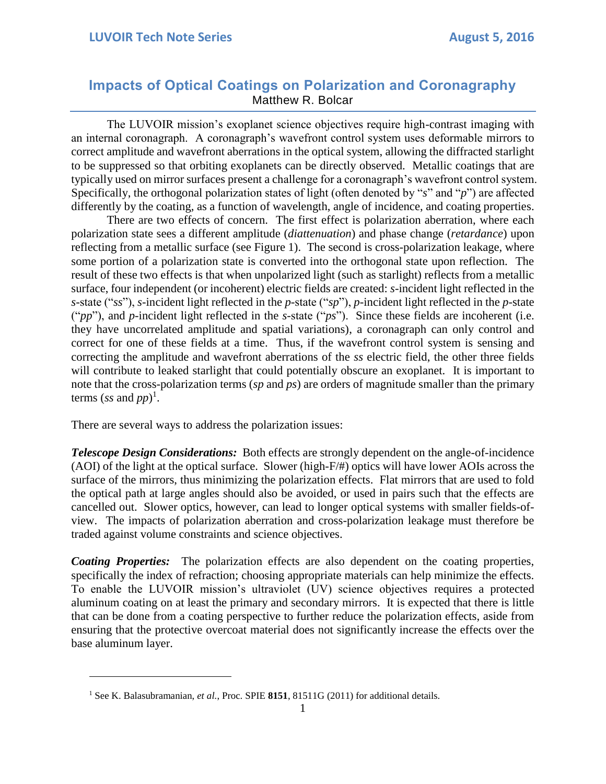## **Impacts of Optical Coatings on Polarization and Coronagraphy** Matthew R. Bolcar

The LUVOIR mission's exoplanet science objectives require high-contrast imaging with an internal coronagraph. A coronagraph's wavefront control system uses deformable mirrors to correct amplitude and wavefront aberrations in the optical system, allowing the diffracted starlight to be suppressed so that orbiting exoplanets can be directly observed. Metallic coatings that are typically used on mirror surfaces present a challenge for a coronagraph's wavefront control system. Specifically, the orthogonal polarization states of light (often denoted by "*s*" and "*p*") are affected differently by the coating, as a function of wavelength, angle of incidence, and coating properties.

There are two effects of concern. The first effect is polarization aberration, where each polarization state sees a different amplitude (*diattenuation*) and phase change (*retardance*) upon reflecting from a metallic surface (see Figure 1). The second is cross-polarization leakage, where some portion of a polarization state is converted into the orthogonal state upon reflection. The result of these two effects is that when unpolarized light (such as starlight) reflects from a metallic surface, four independent (or incoherent) electric fields are created: *s*-incident light reflected in the *s*-state ("*ss*"), *s*-incident light reflected in the *p*-state ("*sp*"), *p*-incident light reflected in the *p*-state ("*pp*"), and *p*-incident light reflected in the *s*-state ("*ps*"). Since these fields are incoherent (i.e. they have uncorrelated amplitude and spatial variations), a coronagraph can only control and correct for one of these fields at a time. Thus, if the wavefront control system is sensing and correcting the amplitude and wavefront aberrations of the *ss* electric field, the other three fields will contribute to leaked starlight that could potentially obscure an exoplanet. It is important to note that the cross-polarization terms (*sp* and *ps*) are orders of magnitude smaller than the primary terms (*ss* and  $pp$ <sup>)</sup>.

There are several ways to address the polarization issues:

 $\overline{a}$ 

*Telescope Design Considerations:* Both effects are strongly dependent on the angle-of-incidence (AOI) of the light at the optical surface. Slower (high-F/#) optics will have lower AOIs across the surface of the mirrors, thus minimizing the polarization effects. Flat mirrors that are used to fold the optical path at large angles should also be avoided, or used in pairs such that the effects are cancelled out. Slower optics, however, can lead to longer optical systems with smaller fields-ofview. The impacts of polarization aberration and cross-polarization leakage must therefore be traded against volume constraints and science objectives.

*Coating Properties:* The polarization effects are also dependent on the coating properties, specifically the index of refraction; choosing appropriate materials can help minimize the effects. To enable the LUVOIR mission's ultraviolet (UV) science objectives requires a protected aluminum coating on at least the primary and secondary mirrors. It is expected that there is little that can be done from a coating perspective to further reduce the polarization effects, aside from ensuring that the protective overcoat material does not significantly increase the effects over the base aluminum layer.

<sup>&</sup>lt;sup>1</sup> See K. Balasubramanian, *et al.*, Proc. SPIE 8151, 81511G (2011) for additional details.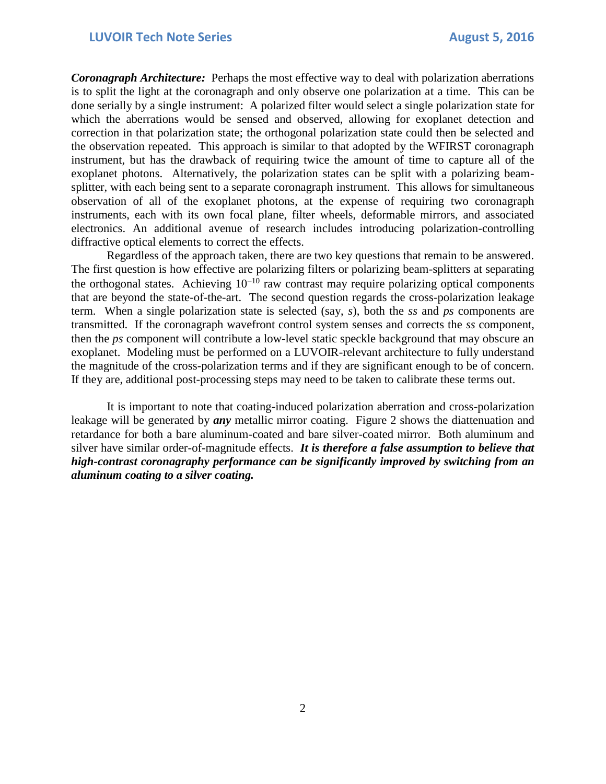*Coronagraph Architecture:* Perhaps the most effective way to deal with polarization aberrations is to split the light at the coronagraph and only observe one polarization at a time. This can be done serially by a single instrument: A polarized filter would select a single polarization state for which the aberrations would be sensed and observed, allowing for exoplanet detection and correction in that polarization state; the orthogonal polarization state could then be selected and the observation repeated. This approach is similar to that adopted by the WFIRST coronagraph instrument, but has the drawback of requiring twice the amount of time to capture all of the exoplanet photons. Alternatively, the polarization states can be split with a polarizing beamsplitter, with each being sent to a separate coronagraph instrument. This allows for simultaneous observation of all of the exoplanet photons, at the expense of requiring two coronagraph instruments, each with its own focal plane, filter wheels, deformable mirrors, and associated electronics. An additional avenue of research includes introducing polarization-controlling diffractive optical elements to correct the effects.

Regardless of the approach taken, there are two key questions that remain to be answered. The first question is how effective are polarizing filters or polarizing beam-splitters at separating the orthogonal states. Achieving  $10^{-10}$  raw contrast may require polarizing optical components that are beyond the state-of-the-art. The second question regards the cross-polarization leakage term. When a single polarization state is selected (say, *s*), both the *ss* and *ps* components are transmitted. If the coronagraph wavefront control system senses and corrects the *ss* component, then the *ps* component will contribute a low-level static speckle background that may obscure an exoplanet. Modeling must be performed on a LUVOIR-relevant architecture to fully understand the magnitude of the cross-polarization terms and if they are significant enough to be of concern. If they are, additional post-processing steps may need to be taken to calibrate these terms out.

It is important to note that coating-induced polarization aberration and cross-polarization leakage will be generated by *any* metallic mirror coating. Figure 2 shows the diattenuation and retardance for both a bare aluminum-coated and bare silver-coated mirror. Both aluminum and silver have similar order-of-magnitude effects. *It is therefore a false assumption to believe that high-contrast coronagraphy performance can be significantly improved by switching from an aluminum coating to a silver coating.*